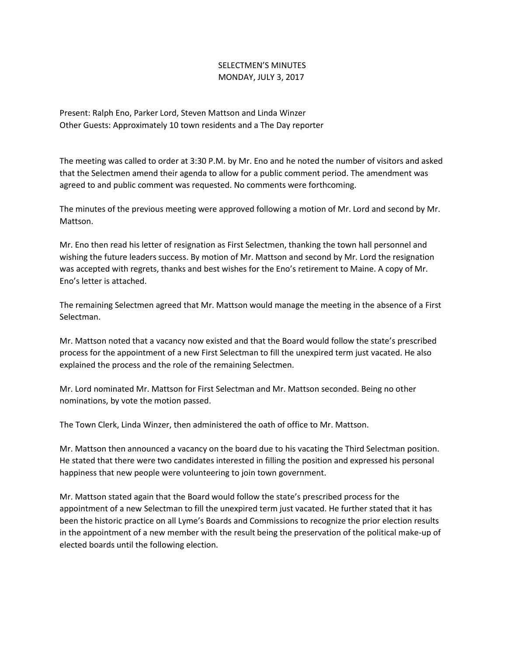## SELECTMEN'S MINUTES MONDAY, JULY 3, 2017

Present: Ralph Eno, Parker Lord, Steven Mattson and Linda Winzer Other Guests: Approximately 10 town residents and a The Day reporter

The meeting was called to order at 3:30 P.M. by Mr. Eno and he noted the number of visitors and asked that the Selectmen amend their agenda to allow for a public comment period. The amendment was agreed to and public comment was requested. No comments were forthcoming.

The minutes of the previous meeting were approved following a motion of Mr. Lord and second by Mr. Mattson.

Mr. Eno then read his letter of resignation as First Selectmen, thanking the town hall personnel and wishing the future leaders success. By motion of Mr. Mattson and second by Mr. Lord the resignation was accepted with regrets, thanks and best wishes for the Eno's retirement to Maine. A copy of Mr. Eno's letter is attached.

The remaining Selectmen agreed that Mr. Mattson would manage the meeting in the absence of a First Selectman.

Mr. Mattson noted that a vacancy now existed and that the Board would follow the state's prescribed process for the appointment of a new First Selectman to fill the unexpired term just vacated. He also explained the process and the role of the remaining Selectmen.

Mr. Lord nominated Mr. Mattson for First Selectman and Mr. Mattson seconded. Being no other nominations, by vote the motion passed.

The Town Clerk, Linda Winzer, then administered the oath of office to Mr. Mattson.

Mr. Mattson then announced a vacancy on the board due to his vacating the Third Selectman position. He stated that there were two candidates interested in filling the position and expressed his personal happiness that new people were volunteering to join town government.

Mr. Mattson stated again that the Board would follow the state's prescribed process for the appointment of a new Selectman to fill the unexpired term just vacated. He further stated that it has been the historic practice on all Lyme's Boards and Commissions to recognize the prior election results in the appointment of a new member with the result being the preservation of the political make-up of elected boards until the following election.